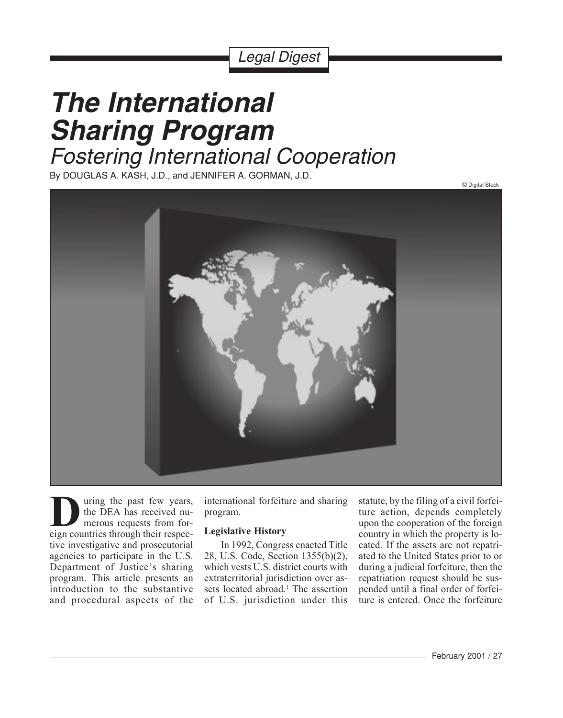## Legal Digest

# **The International Sharing Program** Fostering International Cooperation

By DOUGLAS A. KASH, J.D., and JENNIFER A. GORMAN, J.D.



uring the past few years, the DEA has received numerous requests from for-**D**eign uring the past few years,<br>the DEA has received numerous requests from for-<br>eign countries through their respective investigative and prosecutorial agencies to participate in the U.S. Department of Justice's sharing program. This article presents an introduction to the substantive and procedural aspects of the

international forfeiture and sharing program.

### **Legislative History**

In 1992, Congress enacted Title 28, U.S. Code, Section 1355(b)(2), which vests U.S. district courts with extraterritorial jurisdiction over assets located abroad.<sup>1</sup> The assertion of U.S. jurisdiction under this

statute, by the filing of a civil forfeiture action, depends completely upon the cooperation of the foreign country in which the property is located. If the assets are not repatriated to the United States prior to or during a judicial forfeiture, then the repatriation request should be suspended until a final order of forfeiture is entered. Once the forfeiture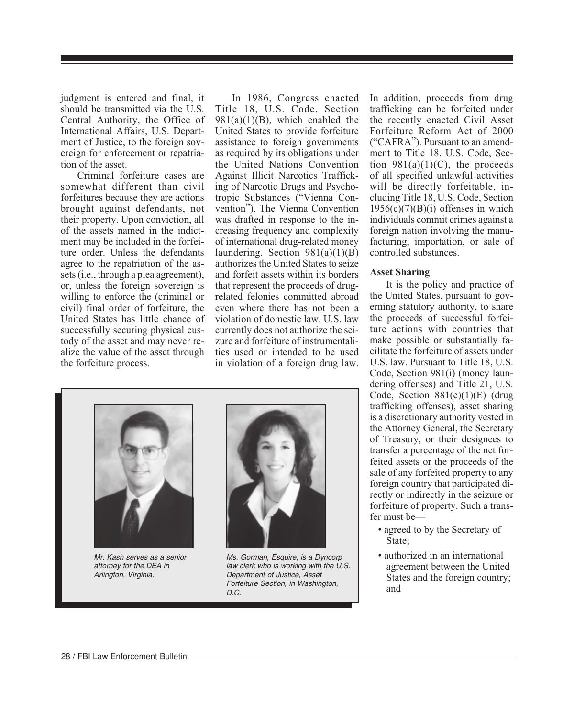judgment is entered and final, it should be transmitted via the U.S. Central Authority, the Office of International Affairs, U.S. Department of Justice, to the foreign sovereign for enforcement or repatriation of the asset.

Criminal forfeiture cases are somewhat different than civil forfeitures because they are actions brought against defendants, not their property. Upon conviction, all of the assets named in the indictment may be included in the forfeiture order. Unless the defendants agree to the repatriation of the assets (i.e., through a plea agreement), or, unless the foreign sovereign is willing to enforce the (criminal or civil) final order of forfeiture, the United States has little chance of successfully securing physical custody of the asset and may never realize the value of the asset through the forfeiture process.

In 1986, Congress enacted Title 18, U.S. Code, Section  $981(a)(1)(B)$ , which enabled the United States to provide forfeiture assistance to foreign governments as required by its obligations under the United Nations Convention Against Illicit Narcotics Trafficking of Narcotic Drugs and Psychotropic Substances ("Vienna Convention"). The Vienna Convention was drafted in response to the increasing frequency and complexity of international drug-related money laundering. Section  $981(a)(1)(B)$ authorizes the United States to seize and forfeit assets within its borders that represent the proceeds of drugrelated felonies committed abroad even where there has not been a violation of domestic law. U.S. law currently does not authorize the seizure and forfeiture of instrumentalities used or intended to be used in violation of a foreign drug law.

In addition, proceeds from drug trafficking can be forfeited under the recently enacted Civil Asset Forfeiture Reform Act of 2000 ("CAFRA"). Pursuant to an amendment to Title 18, U.S. Code, Section  $981(a)(1)(C)$ , the proceeds of all specified unlawful activities will be directly forfeitable, including Title 18, U.S. Code, Section  $1956(c)(7)(B)(i)$  offenses in which individuals commit crimes against a foreign nation involving the manufacturing, importation, or sale of controlled substances.

#### **Asset Sharing**

It is the policy and practice of the United States, pursuant to governing statutory authority, to share the proceeds of successful forfeiture actions with countries that make possible or substantially facilitate the forfeiture of assets under U.S. law. Pursuant to Title 18, U.S. Code, Section 981(i) (money laundering offenses) and Title 21, U.S. Code, Section 881(e)(1)(E) (drug trafficking offenses), asset sharing is a discretionary authority vested in the Attorney General, the Secretary of Treasury, or their designees to transfer a percentage of the net forfeited assets or the proceeds of the sale of any forfeited property to any foreign country that participated directly or indirectly in the seizure or forfeiture of property. Such a transfer must be—

- agreed to by the Secretary of State;
- authorized in an international agreement between the United States and the foreign country; and

Mr. Kash serves as a senior attorney for the DEA in Arlington, Virginia.

Ms. Gorman, Esquire, is a Dyncorp law clerk who is working with the U.S. Department of Justice, Asset Forfeiture Section, in Washington, D.C.





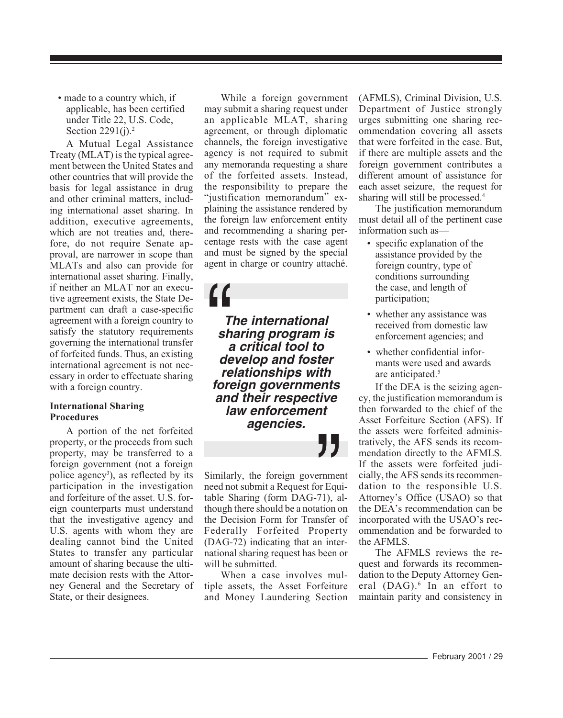• made to a country which, if applicable, has been certified under Title 22, U.S. Code, Section  $2291(j).<sup>2</sup>$ 

A Mutual Legal Assistance Treaty (MLAT) is the typical agreement between the United States and other countries that will provide the basis for legal assistance in drug and other criminal matters, including international asset sharing. In addition, executive agreements, which are not treaties and, therefore, do not require Senate approval, are narrower in scope than MLATs and also can provide for international asset sharing. Finally, if neither an MLAT nor an executive agreement exists, the State Department can draft a case-specific agreement with a foreign country to satisfy the statutory requirements governing the international transfer of forfeited funds. Thus, an existing international agreement is not necessary in order to effectuate sharing with a foreign country.

#### **International Sharing Procedures**

A portion of the net forfeited property, or the proceeds from such property, may be transferred to a foreign government (not a foreign police agency<sup>3</sup>), as reflected by its participation in the investigation and forfeiture of the asset. U.S. foreign counterparts must understand that the investigative agency and U.S. agents with whom they are dealing cannot bind the United States to transfer any particular amount of sharing because the ultimate decision rests with the Attorney General and the Secretary of State, or their designees.

While a foreign government may submit a sharing request under an applicable MLAT, sharing agreement, or through diplomatic channels, the foreign investigative agency is not required to submit any memoranda requesting a share of the forfeited assets. Instead, the responsibility to prepare the "justification memorandum" explaining the assistance rendered by the foreign law enforcement entity and recommending a sharing percentage rests with the case agent and must be signed by the special agent in charge or country attaché.

 $\begin{array}{ccc} \mathbf{H} & \mathbf{I} \\ \mathbf{I} & \mathbf{I} \\ \mathbf{S} & \mathbf{A} \\ \mathbf{d} \end{array}$ **The international sharing program is a critical tool to develop and foster relationships with foreign governments and their respective law enforcement agencies.**

 $77$ <br>  $\frac{1}{71}$ , a<br>  $\frac{1}{100}$  ation o Similarly, the foreign government need not submit a Request for Equitable Sharing (form DAG-71), although there should be a notation on the Decision Form for Transfer of Federally Forfeited Property (DAG-72) indicating that an international sharing request has been or will be submitted.

When a case involves multiple assets, the Asset Forfeiture and Money Laundering Section (AFMLS), Criminal Division, U.S. Department of Justice strongly urges submitting one sharing recommendation covering all assets that were forfeited in the case. But, if there are multiple assets and the foreign government contributes a different amount of assistance for each asset seizure, the request for sharing will still be processed.4

The justification memorandum must detail all of the pertinent case information such as—

- specific explanation of the assistance provided by the foreign country, type of conditions surrounding the case, and length of participation;
- whether any assistance was received from domestic law enforcement agencies; and
- whether confidential informants were used and awards are anticipated.<sup>5</sup>

If the DEA is the seizing agency, the justification memorandum is then forwarded to the chief of the Asset Forfeiture Section (AFS). If the assets were forfeited administratively, the AFS sends its recommendation directly to the AFMLS. If the assets were forfeited judicially, the AFS sends its recommendation to the responsible U.S. Attorney's Office (USAO) so that the DEA's recommendation can be incorporated with the USAO's recommendation and be forwarded to the AFMLS.

The AFMLS reviews the request and forwards its recommendation to the Deputy Attorney General (DAG).<sup>6</sup> In an effort to maintain parity and consistency in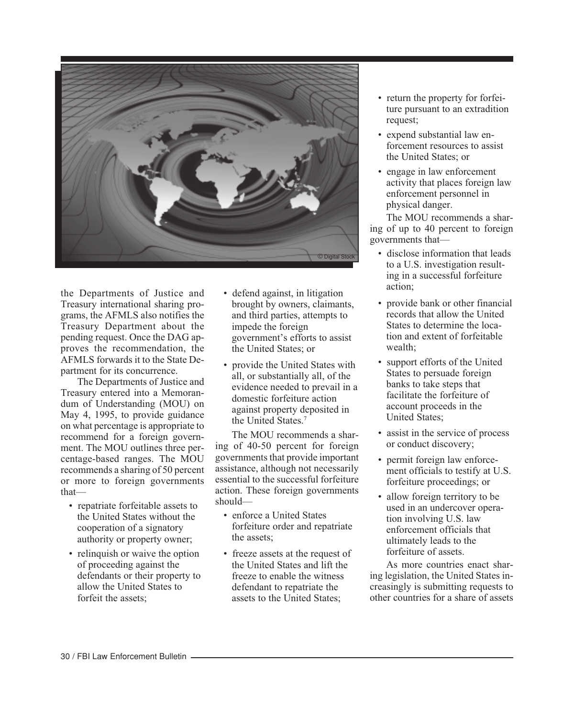

the Departments of Justice and Treasury international sharing programs, the AFMLS also notifies the Treasury Department about the pending request. Once the DAG approves the recommendation, the AFMLS forwards it to the State Department for its concurrence.

The Departments of Justice and Treasury entered into a Memorandum of Understanding (MOU) on May 4, 1995, to provide guidance on what percentage is appropriate to recommend for a foreign government. The MOU outlines three percentage-based ranges. The MOU recommends a sharing of 50 percent or more to foreign governments that—

- repatriate forfeitable assets to the United States without the cooperation of a signatory authority or property owner;
- relinquish or waive the option of proceeding against the defendants or their property to allow the United States to forfeit the assets;
- defend against, in litigation brought by owners, claimants, and third parties, attempts to impede the foreign government's efforts to assist the United States; or
- provide the United States with all, or substantially all, of the evidence needed to prevail in a domestic forfeiture action against property deposited in the United States.<sup>7</sup>

The MOU recommends a sharing of 40-50 percent for foreign governments that provide important assistance, although not necessarily essential to the successful forfeiture action. These foreign governments should—

- enforce a United States forfeiture order and repatriate the assets;
- freeze assets at the request of the United States and lift the freeze to enable the witness defendant to repatriate the assets to the United States;
- return the property for forfeiture pursuant to an extradition request;
- expend substantial law enforcement resources to assist the United States; or
- engage in law enforcement activity that places foreign law enforcement personnel in physical danger.

The MOU recommends a sharing of up to 40 percent to foreign governments that—

- disclose information that leads to a U.S. investigation resulting in a successful forfeiture action;
- provide bank or other financial records that allow the United States to determine the location and extent of forfeitable wealth;
- support efforts of the United States to persuade foreign banks to take steps that facilitate the forfeiture of account proceeds in the United States;
- assist in the service of process or conduct discovery;
- permit foreign law enforcement officials to testify at U.S. forfeiture proceedings; or
- allow foreign territory to be used in an undercover operation involving U.S. law enforcement officials that ultimately leads to the forfeiture of assets.

As more countries enact sharing legislation, the United States increasingly is submitting requests to other countries for a share of assets